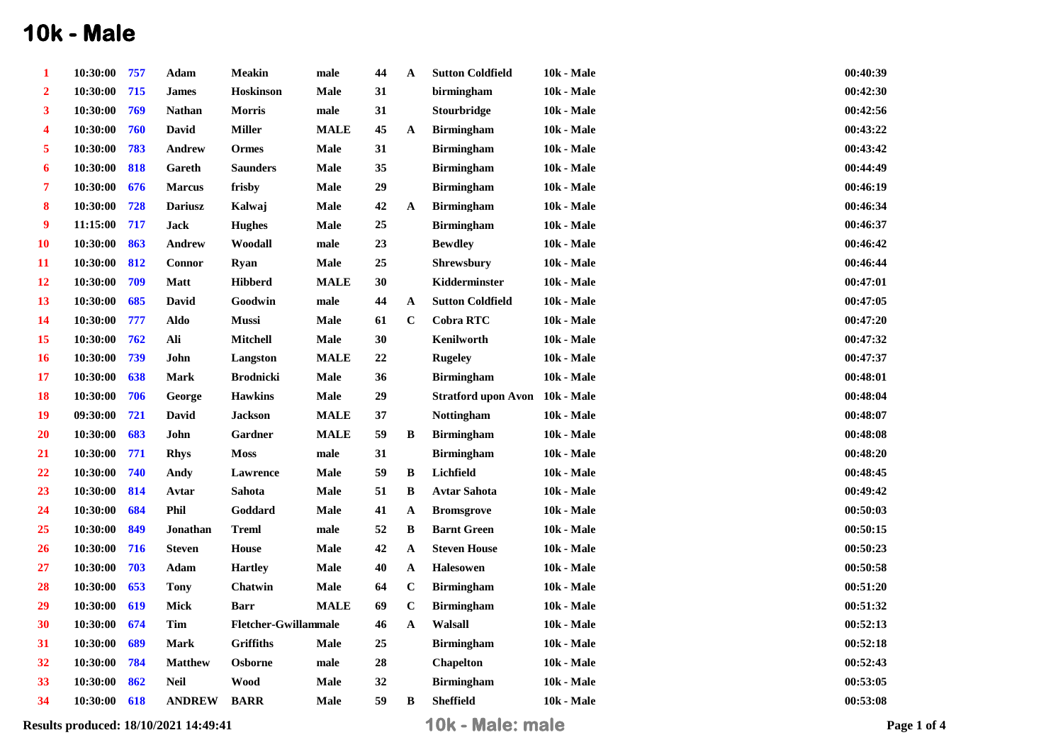## **10k - Male**

|                  |          |     | Results produced: 18/10/2021 14:49:41 |                             |             |    |             | 10k - Male: male               |                   | Page 1 of 4 |
|------------------|----------|-----|---------------------------------------|-----------------------------|-------------|----|-------------|--------------------------------|-------------------|-------------|
| 34               | 10:30:00 | 618 | <b>ANDREW</b>                         | <b>BARR</b>                 | <b>Male</b> | 59 | B           | <b>Sheffield</b>               | <b>10k - Male</b> | 00:53:08    |
| 33               | 10:30:00 | 862 | <b>Neil</b>                           | <b>Wood</b>                 | Male        | 32 |             | <b>Birmingham</b>              | <b>10k - Male</b> | 00:53:05    |
| 32               | 10:30:00 | 784 | <b>Matthew</b>                        | <b>Osborne</b>              | male        | 28 |             | <b>Chapelton</b>               | <b>10k - Male</b> | 00:52:43    |
| 31               | 10:30:00 | 689 | <b>Mark</b>                           | <b>Griffiths</b>            | <b>Male</b> | 25 |             | <b>Birmingham</b>              | <b>10k - Male</b> | 00:52:18    |
| 30               | 10:30:00 | 674 | Tim                                   | <b>Fletcher-Gwillammale</b> |             | 46 | A           | Walsall                        | <b>10k - Male</b> | 00:52:13    |
| 29               | 10:30:00 | 619 | Mick                                  | <b>Barr</b>                 | <b>MALE</b> | 69 | $\bf C$     | <b>Birmingham</b>              | <b>10k - Male</b> | 00:51:32    |
| 28               | 10:30:00 | 653 | <b>Tony</b>                           | Chatwin                     | Male        | 64 | $\mathbf C$ | <b>Birmingham</b>              | <b>10k - Male</b> | 00:51:20    |
| 27               | 10:30:00 | 703 | Adam                                  | <b>Hartley</b>              | Male        | 40 | A           | <b>Halesowen</b>               | <b>10k - Male</b> | 00:50:58    |
| 26               | 10:30:00 | 716 | <b>Steven</b>                         | <b>House</b>                | Male        | 42 | A           | <b>Steven House</b>            | <b>10k - Male</b> | 00:50:23    |
| 25               | 10:30:00 | 849 | Jonathan                              | <b>Treml</b>                | male        | 52 | B           | <b>Barnt Green</b>             | <b>10k - Male</b> | 00:50:15    |
| 24               | 10:30:00 | 684 | Phil                                  | Goddard                     | Male        | 41 | A           | <b>Bromsgrove</b>              | <b>10k - Male</b> | 00:50:03    |
| 23               | 10:30:00 | 814 | Avtar                                 | Sahota                      | Male        | 51 | B           | <b>Avtar Sahota</b>            | <b>10k - Male</b> | 00:49:42    |
| 22               | 10:30:00 | 740 | Andy                                  | Lawrence                    | Male        | 59 | B           | Lichfield                      | <b>10k - Male</b> | 00:48:45    |
| 21               | 10:30:00 | 771 | <b>Rhys</b>                           | <b>Moss</b>                 | male        | 31 |             | <b>Birmingham</b>              | <b>10k - Male</b> | 00:48:20    |
| <b>20</b>        | 10:30:00 | 683 | John                                  | Gardner                     | <b>MALE</b> | 59 | B           | <b>Birmingham</b>              | <b>10k - Male</b> | 00:48:08    |
| 19               | 09:30:00 | 721 | David                                 | <b>Jackson</b>              | <b>MALE</b> | 37 |             | <b>Nottingham</b>              | <b>10k - Male</b> | 00:48:07    |
| <b>18</b>        | 10:30:00 | 706 | George                                | <b>Hawkins</b>              | Male        | 29 |             | Stratford upon Avon 10k - Male |                   | 00:48:04    |
| 17               | 10:30:00 | 638 | <b>Mark</b>                           | <b>Brodnicki</b>            | Male        | 36 |             | <b>Birmingham</b>              | <b>10k - Male</b> | 00:48:01    |
| <b>16</b>        | 10:30:00 | 739 | John                                  | Langston                    | <b>MALE</b> | 22 |             | <b>Rugeley</b>                 | <b>10k - Male</b> | 00:47:37    |
| 15               | 10:30:00 | 762 | Ali                                   | Mitchell                    | Male        | 30 |             | Kenilworth                     | 10k - Male        | 00:47:32    |
| 14               | 10:30:00 | 777 | Aldo                                  | Mussi                       | Male        | 61 | $\mathbf C$ | <b>Cobra RTC</b>               | <b>10k - Male</b> | 00:47:20    |
| 13               | 10:30:00 | 685 | David                                 | Goodwin                     | male        | 44 | A           | <b>Sutton Coldfield</b>        | <b>10k - Male</b> | 00:47:05    |
| 12               | 10:30:00 | 709 | <b>Matt</b>                           | <b>Hibberd</b>              | <b>MALE</b> | 30 |             | Kidderminster                  | <b>10k - Male</b> | 00:47:01    |
| 11               | 10:30:00 | 812 | <b>Connor</b>                         | <b>Ryan</b>                 | Male        | 25 |             | <b>Shrewsbury</b>              | 10k - Male        | 00:46:44    |
| <b>10</b>        | 10:30:00 | 863 | Andrew                                | Woodall                     | male        | 23 |             | <b>Bewdley</b>                 | <b>10k - Male</b> | 00:46:42    |
| 9                | 11:15:00 | 717 | <b>Jack</b>                           | <b>Hughes</b>               | Male        | 25 |             | <b>Birmingham</b>              | <b>10k - Male</b> | 00:46:37    |
| 8                | 10:30:00 | 728 | <b>Dariusz</b>                        | Kalwaj                      | Male        | 42 | A           | <b>Birmingham</b>              | <b>10k - Male</b> | 00:46:34    |
| 7                | 10:30:00 | 676 | <b>Marcus</b>                         | frisby                      | Male        | 29 |             | <b>Birmingham</b>              | <b>10k - Male</b> | 00:46:19    |
| 6                | 10:30:00 | 818 | Gareth                                | <b>Saunders</b>             | Male        | 35 |             | <b>Birmingham</b>              | <b>10k - Male</b> | 00:44:49    |
| 5                | 10:30:00 | 783 | Andrew                                | Ormes                       | Male        | 31 |             | <b>Birmingham</b>              | <b>10k - Male</b> | 00:43:42    |
| 4                | 10:30:00 | 760 | <b>David</b>                          | <b>Miller</b>               | <b>MALE</b> | 45 | A           | <b>Birmingham</b>              | <b>10k - Male</b> | 00:43:22    |
| 3                | 10:30:00 | 769 | <b>Nathan</b>                         | <b>Morris</b>               | male        | 31 |             | <b>Stourbridge</b>             | <b>10k - Male</b> | 00:42:56    |
| $\boldsymbol{2}$ | 10:30:00 | 715 | <b>James</b>                          | <b>Hoskinson</b>            | Male        | 31 |             | birmingham                     | <b>10k - Male</b> | 00:42:30    |
| -1               | 10:30:00 | 757 | Adam                                  | Meakin                      | male        | 44 | A           | <b>Sutton Coldfield</b>        | 10k - Male        | 00:40:39    |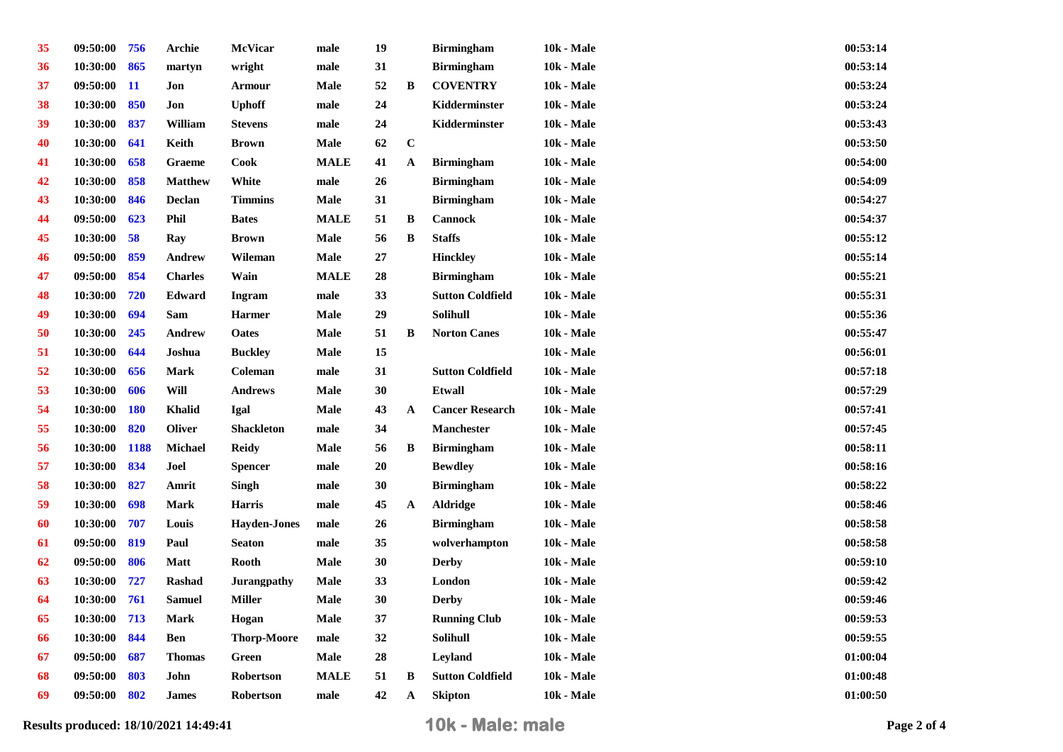| 35 | 09:50:00     | 756         | Archie         | McVicar             | male          | 19     |              | <b>Birmingham</b>       | <b>10k - Male</b> | 00:53:14 |
|----|--------------|-------------|----------------|---------------------|---------------|--------|--------------|-------------------------|-------------------|----------|
| 36 | 10:30:00     | 865         | martyn         | wright              | male          | 31     |              | <b>Birmingham</b>       | <b>10k - Male</b> | 00:53:14 |
| 37 | 09:50:00     | <b>11</b>   | Jon            | <b>Armour</b>       | <b>Male</b>   | 52     | B            | <b>COVENTRY</b>         | <b>10k - Male</b> | 00:53:24 |
| 38 | 10:30:00     | 850         | Jon            | <b>Uphoff</b>       | male          | 24     |              | Kidderminster           | <b>10k - Male</b> | 00:53:24 |
| 39 | 10:30:00     | 837         | William        | <b>Stevens</b>      | male          | 24     |              | Kidderminster           | <b>10k - Male</b> | 00:53:43 |
| 40 | 10:30:00     | 641         | Keith          | <b>Brown</b>        | <b>Male</b>   | 62     | $\mathbf C$  |                         | <b>10k - Male</b> | 00:53:50 |
| 41 | 10:30:00     | 658         | Graeme         | <b>Cook</b>         | <b>MALE</b>   | 41     | A            | <b>Birmingham</b>       | <b>10k - Male</b> | 00:54:00 |
| 42 | 10:30:00     | 858         | <b>Matthew</b> | White               | male          | 26     |              | <b>Birmingham</b>       | 10k - Male        | 00:54:09 |
| 43 | 10:30:00     | 846         | Declan         | <b>Timmins</b>      | <b>Male</b>   | 31     |              | <b>Birmingham</b>       | <b>10k - Male</b> | 00:54:27 |
| 44 | 09:50:00     | 623         | Phil           | <b>Bates</b>        | <b>MALE</b>   | 51     | B            | Cannock                 | 10k - Male        | 00:54:37 |
| 45 | 10:30:00     | 58          | Ray            | <b>Brown</b>        | <b>Male</b>   | 56     | B            | <b>Staffs</b>           | <b>10k - Male</b> | 00:55:12 |
| 46 | 09:50:00     | 859         | Andrew         | Wileman             | Male          | $27\,$ |              | <b>Hinckley</b>         | <b>10k - Male</b> | 00:55:14 |
| 47 | 09:50:00     | 854         | <b>Charles</b> | Wain                | <b>MALE</b>   | 28     |              | <b>Birmingham</b>       | <b>10k - Male</b> | 00:55:21 |
| 48 | 10:30:00     | 720         | Edward         | Ingram              | male          | 33     |              | <b>Sutton Coldfield</b> | 10k - Male        | 00:55:31 |
| 49 | 10:30:00     | 694         | Sam            | <b>Harmer</b>       | <b>Male</b>   | 29     |              | Solihull                | 10k - Male        | 00:55:36 |
| 50 | 10:30:00     | 245         | <b>Andrew</b>  | <b>Oates</b>        | <b>Male</b>   | 51     | B            | <b>Norton Canes</b>     | <b>10k - Male</b> | 00:55:47 |
| 51 | 10:30:00     | 644         | Joshua         | <b>Buckley</b>      | <b>Male</b>   | 15     |              |                         | <b>10k - Male</b> | 00:56:01 |
| 52 | 10:30:00     | 656         | Mark           | Coleman             | male          | 31     |              | <b>Sutton Coldfield</b> | 10k - Male        | 00:57:18 |
| 53 | 10:30:00     | 606         | Will           | <b>Andrews</b>      | <b>Male</b>   | 30     |              | <b>Etwall</b>           | $10k - Male$      | 00:57:29 |
| 54 | 10:30:00     | <b>180</b>  | <b>Khalid</b>  | <b>Igal</b>         | Male          | 43     | $\mathbf{A}$ | <b>Cancer Research</b>  | 10k - Male        | 00:57:41 |
| 55 | 10:30:00     | 820         | <b>Oliver</b>  | <b>Shackleton</b>   | male          | 34     |              | <b>Manchester</b>       | <b>10k - Male</b> | 00:57:45 |
| 56 | 10:30:00     | <b>1188</b> | Michael        | <b>Reidy</b>        | <b>Male</b>   | 56     | B            | <b>Birmingham</b>       | <b>10k - Male</b> | 00:58:11 |
| 57 | 10:30:00     | 834         | Joel           | <b>Spencer</b>      | male          | 20     |              | <b>Bewdley</b>          | <b>10k - Male</b> | 00:58:16 |
| 58 | 10:30:00     | 827         | Amrit          | Singh               | male          | 30     |              | <b>Birmingham</b>       | <b>10k - Male</b> | 00:58:22 |
| 59 | 10:30:00     | 698         | <b>Mark</b>    | <b>Harris</b>       | male          | 45     | $\mathbf{A}$ | <b>Aldridge</b>         | <b>10k - Male</b> | 00:58:46 |
| 60 | 10:30:00     | 707         | Louis          | <b>Hayden-Jones</b> | male          | 26     |              | <b>Birmingham</b>       | 10k - Male        | 00:58:58 |
| 61 | 09:50:00     | 819         | Paul           | <b>Seaton</b>       | male          | 35     |              | wolverhampton           | <b>10k - Male</b> | 00:58:58 |
| 62 | 09:50:00     | 806         | <b>Matt</b>    | <b>Rooth</b>        | Male          | 30     |              | <b>Derby</b>            | 10k - Male        | 00:59:10 |
| 63 | 10:30:00     | 727         | <b>Rashad</b>  | <b>Jurangpathy</b>  | Male          | 33     |              | London                  | <b>10k - Male</b> | 00:59:42 |
| 64 | 10:30:00     | 761         | <b>Samuel</b>  | <b>Miller</b>       | <b>Male</b>   | 30     |              | <b>Derby</b>            | <b>10k - Male</b> | 00:59:46 |
| 65 | 10:30:00 713 |             | Mark           | Hogan               | Male          | 37     |              | <b>Running Club</b>     | <b>10k - Male</b> | 00:59:53 |
| 66 | 10:30:00     | 844         | Ben            | <b>Thorp-Moore</b>  | male          | 32     |              | Solihull                | <b>10k - Male</b> | 00:59:55 |
| 67 | 09:50:00     | 687         | <b>Thomas</b>  | Green               | Male          | 28     |              | Leyland                 | <b>10k - Male</b> | 01:00:04 |
| 68 | 09:50:00     | 803         | John           | Robertson           | <b>MALE</b>   | 51     | B            | <b>Sutton Coldfield</b> | <b>10k - Male</b> | 01:00:48 |
| 69 | 09:50:00     | 802         | <b>James</b>   | Robertson           | $_{\rm male}$ | 42     | A            | <b>Skipton</b>          | <b>10k - Male</b> | 01:00:50 |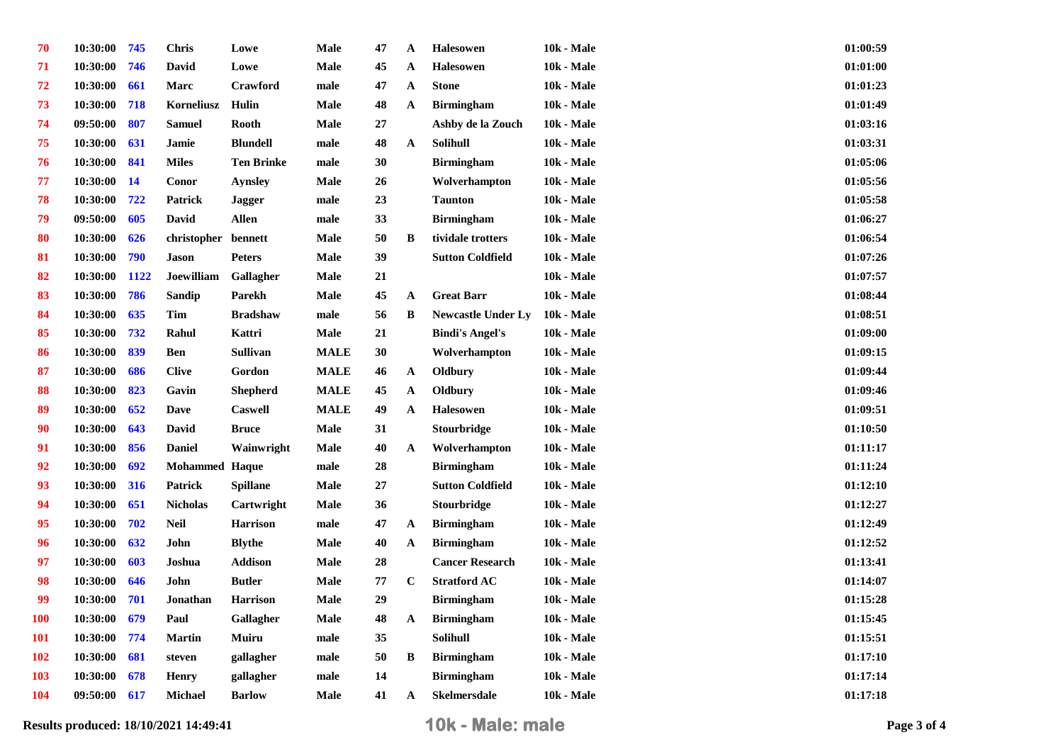| 70         | 10:30:00 | 745       | <b>Chris</b>          | Lowe              | Male        | 47       | A            | <b>Halesowen</b>          | <b>10k - Male</b> | 01:00:59 |
|------------|----------|-----------|-----------------------|-------------------|-------------|----------|--------------|---------------------------|-------------------|----------|
| 71         | 10:30:00 | 746       | David                 | Lowe              | <b>Male</b> | 45       | $\mathbf{A}$ | Halesowen                 | <b>10k - Male</b> | 01:01:00 |
| 72         | 10:30:00 | 661       | Marc                  | Crawford          | male        | 47       | A            | <b>Stone</b>              | <b>10k - Male</b> | 01:01:23 |
| 73         | 10:30:00 | 718       | Korneliusz            | Hulin             | <b>Male</b> | 48       | $\mathbf{A}$ | <b>Birmingham</b>         | <b>10k - Male</b> | 01:01:49 |
| 74         | 09:50:00 | 807       | <b>Samuel</b>         | <b>Rooth</b>      | <b>Male</b> | $\bf 27$ |              | Ashby de la Zouch         | <b>10k - Male</b> | 01:03:16 |
| 75         | 10:30:00 | 631       | Jamie                 | <b>Blundell</b>   | male        | 48       | $\mathbf{A}$ | Solihull                  | 10k - Male        | 01:03:31 |
| 76         | 10:30:00 | 841       | <b>Miles</b>          | <b>Ten Brinke</b> | male        | 30       |              | <b>Birmingham</b>         | <b>10k - Male</b> | 01:05:06 |
| 77         | 10:30:00 | <b>14</b> | Conor                 | <b>Aynsley</b>    | <b>Male</b> | 26       |              | Wolverhampton             | <b>10k - Male</b> | 01:05:56 |
| 78         | 10:30:00 | 722       | Patrick               | <b>Jagger</b>     | male        | 23       |              | <b>Taunton</b>            | <b>10k - Male</b> | 01:05:58 |
| 79         | 09:50:00 | 605       | <b>David</b>          | <b>Allen</b>      | male        | 33       |              | <b>Birmingham</b>         | <b>10k - Male</b> | 01:06:27 |
| 80         | 10:30:00 | 626       | christopher bennett   |                   | <b>Male</b> | 50       | B            | tividale trotters         | 10k - Male        | 01:06:54 |
| 81         | 10:30:00 | 790       | <b>Jason</b>          | <b>Peters</b>     | <b>Male</b> | 39       |              | <b>Sutton Coldfield</b>   | 10k - Male        | 01:07:26 |
| 82         | 10:30:00 | 1122      | Joewilliam            | Gallagher         | <b>Male</b> | 21       |              |                           | <b>10k - Male</b> | 01:07:57 |
| 83         | 10:30:00 | 786       | Sandip                | Parekh            | <b>Male</b> | 45       | $\mathbf{A}$ | <b>Great Barr</b>         | <b>10k - Male</b> | 01:08:44 |
| 84         | 10:30:00 | 635       | Tim                   | <b>Bradshaw</b>   | male        | 56       | B            | <b>Newcastle Under Ly</b> | 10k - Male        | 01:08:51 |
| 85         | 10:30:00 | 732       | Rahul                 | Kattri            | <b>Male</b> | 21       |              | <b>Bindi's Angel's</b>    | <b>10k - Male</b> | 01:09:00 |
| 86         | 10:30:00 | 839       | <b>Ben</b>            | Sullivan          | <b>MALE</b> | 30       |              | Wolverhampton             | <b>10k - Male</b> | 01:09:15 |
| 87         | 10:30:00 | 686       | <b>Clive</b>          | Gordon            | <b>MALE</b> | 46       | $\mathbf{A}$ | Oldbury                   | <b>10k - Male</b> | 01:09:44 |
| 88         | 10:30:00 | 823       | Gavin                 | <b>Shepherd</b>   | <b>MALE</b> | 45       | A            | Oldbury                   | 10k - Male        | 01:09:46 |
| 89         | 10:30:00 | 652       | <b>Dave</b>           | <b>Caswell</b>    | <b>MALE</b> | 49       | $\mathbf{A}$ | <b>Halesowen</b>          | 10k - Male        | 01:09:51 |
| 90         | 10:30:00 | 643       | David                 | <b>Bruce</b>      | <b>Male</b> | 31       |              | Stourbridge               | <b>10k - Male</b> | 01:10:50 |
| 91         | 10:30:00 | 856       | <b>Daniel</b>         | Wainwright        | Male        | 40       | $\mathbf{A}$ | Wolverhampton             | <b>10k - Male</b> | 01:11:17 |
| 92         | 10:30:00 | 692       | <b>Mohammed Haque</b> |                   | male        | 28       |              | <b>Birmingham</b>         | <b>10k - Male</b> | 01:11:24 |
| 93         | 10:30:00 | 316       | Patrick               | <b>Spillane</b>   | <b>Male</b> | 27       |              | <b>Sutton Coldfield</b>   | <b>10k - Male</b> | 01:12:10 |
| 94         | 10:30:00 | 651       | <b>Nicholas</b>       | Cartwright        | Male        | 36       |              | <b>Stourbridge</b>        | <b>10k - Male</b> | 01:12:27 |
| 95         | 10:30:00 | 702       | <b>Neil</b>           | <b>Harrison</b>   | male        | 47       | A            | <b>Birmingham</b>         | <b>10k - Male</b> | 01:12:49 |
| 96         | 10:30:00 | 632       | John                  | <b>Blythe</b>     | <b>Male</b> | 40       | A            | <b>Birmingham</b>         | <b>10k - Male</b> | 01:12:52 |
| 97         | 10:30:00 | 603       | Joshua                | <b>Addison</b>    | Male        | 28       |              | <b>Cancer Research</b>    | <b>10k - Male</b> | 01:13:41 |
| 98         | 10:30:00 | 646       | John                  | <b>Butler</b>     | Male        | 77       | $\mathbf C$  | <b>Stratford AC</b>       | <b>10k - Male</b> | 01:14:07 |
| 99         | 10:30:00 | 701       | Jonathan              | <b>Harrison</b>   | <b>Male</b> | 29       |              | <b>Birmingham</b>         | <b>10k - Male</b> | 01:15:28 |
| <b>100</b> | 10:30:00 | 679       | Paul                  | Gallagher         | <b>Male</b> | 48       | $\mathbf{A}$ | <b>Birmingham</b>         | <b>10k - Male</b> | 01:15:45 |
| <b>101</b> | 10:30:00 | 774       | <b>Martin</b>         | Muiru             | male        | 35       |              | <b>Solihull</b>           | <b>10k - Male</b> | 01:15:51 |
| <b>102</b> | 10:30:00 | 681       | steven                | gallagher         | male        | 50       | B            | <b>Birmingham</b>         | <b>10k - Male</b> | 01:17:10 |
| <b>103</b> | 10:30:00 | 678       | <b>Henry</b>          | gallagher         | male        | 14       |              | <b>Birmingham</b>         | <b>10k - Male</b> | 01:17:14 |
| <b>104</b> | 09:50:00 | 617       | Michael               | <b>Barlow</b>     | Male        | 41       | $\mathbf{A}$ | <b>Skelmersdale</b>       | <b>10k - Male</b> | 01:17:18 |